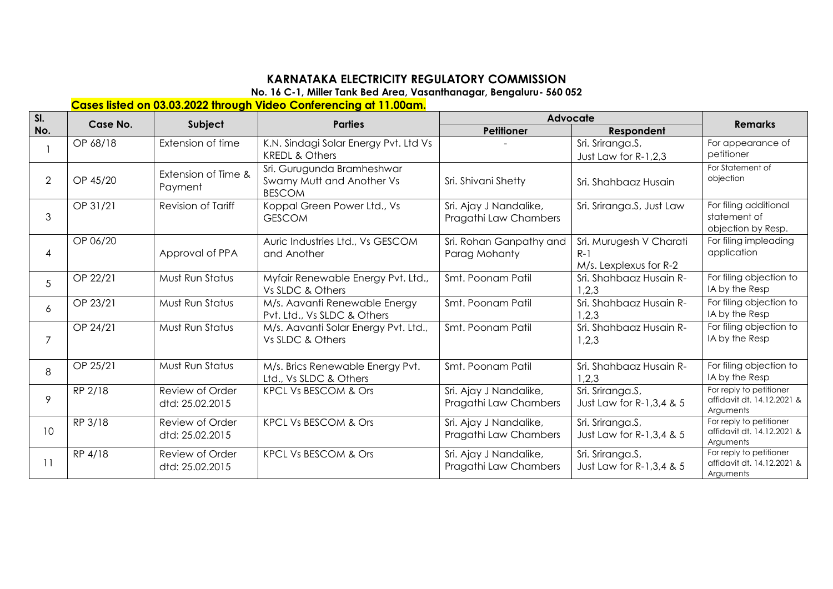## **KARNATAKA ELECTRICITY REGULATORY COMMISSION**

**No. 16 C-1, Miller Tank Bed Area, Vasanthanagar, Bengaluru- 560 052** 

## **Cases listed on 03.03.2022 through Video Conferencing at 11.00am.**

| SI.<br>No.      | Case No. | Subject                            | <b>Parties</b>                                                           | Advocate                                        |                                                            |                                                                    |
|-----------------|----------|------------------------------------|--------------------------------------------------------------------------|-------------------------------------------------|------------------------------------------------------------|--------------------------------------------------------------------|
|                 |          |                                    |                                                                          | <b>Petitioner</b>                               | Respondent                                                 | <b>Remarks</b>                                                     |
|                 | OP 68/18 | Extension of time                  | K.N. Sindagi Solar Energy Pvt. Ltd Vs<br><b>KREDL &amp; Others</b>       |                                                 | Sri. Sriranga.S,<br>Just Law for R-1,2,3                   | For appearance of<br>petitioner                                    |
| $\overline{2}$  | OP 45/20 | Extension of Time &<br>Payment     | Sri. Gurugunda Bramheshwar<br>Swamy Mutt and Another Vs<br><b>BESCOM</b> | Sri. Shivani Shetty                             | Sri. Shahbaaz Husain                                       | For Statement of<br>objection                                      |
| 3               | OP 31/21 | Revision of Tariff                 | Koppal Green Power Ltd., Vs<br><b>GESCOM</b>                             | Sri. Ajay J Nandalike,<br>Pragathi Law Chambers | Sri. Sriranga.S, Just Law                                  | For filing additional<br>statement of<br>objection by Resp.        |
| 4               | OP 06/20 | Approval of PPA                    | Auric Industries Ltd., Vs GESCOM<br>and Another                          | Sri. Rohan Ganpathy and<br>Parag Mohanty        | Sri. Murugesh V Charati<br>$R-1$<br>M/s. Lexplexus for R-2 | For filing impleading<br>application                               |
| 5               | OP 22/21 | Must Run Status                    | Myfair Renewable Energy Pvt. Ltd.,<br>Vs SLDC & Others                   | Smt. Poonam Patil                               | Sri. Shahbaaz Husain R-<br>1,2,3                           | For filing objection to<br>IA by the Resp                          |
| 6               | OP 23/21 | Must Run Status                    | M/s. Aavanti Renewable Energy<br>Pvt. Ltd., Vs SLDC & Others             | Smt. Poonam Patil                               | Sri. Shahbaaz Husain R-<br>1,2,3                           | For filing objection to<br>IA by the Resp                          |
| $\overline{7}$  | OP 24/21 | Must Run Status                    | M/s. Aavanti Solar Energy Pvt. Ltd.,<br>Vs SLDC & Others                 | Smt. Poonam Patil                               | Sri. Shahbaaz Husain R-<br>1,2,3                           | For filing objection to<br>IA by the Resp                          |
| 8               | OP 25/21 | Must Run Status                    | M/s. Brics Renewable Energy Pvt.<br>Ltd., Vs SLDC & Others               | Smt. Poonam Patil                               | Sri. Shahbaaz Husain R-<br>1,2,3                           | For filing objection to<br>IA by the Resp                          |
| 9               | RP 2/18  | Review of Order<br>dtd: 25.02.2015 | KPCL Vs BESCOM & Ors                                                     | Sri. Ajay J Nandalike,<br>Pragathi Law Chambers | Sri. Sriranga.S,<br>Just Law for R-1, 3, 4 & 5             | For reply to petitioner<br>affidavit dt. 14.12.2021 &<br>Arguments |
| 10 <sup>°</sup> | RP 3/18  | Review of Order<br>dtd: 25.02.2015 | KPCL Vs BESCOM & Ors                                                     | Sri. Ajay J Nandalike,<br>Pragathi Law Chambers | Sri. Sriranga.S,<br>Just Law for R-1, 3, 4 & 5             | For reply to petitioner<br>affidavit dt. 14.12.2021 &<br>Arguments |
| 11              | RP 4/18  | Review of Order<br>dtd: 25.02.2015 | <b>KPCL Vs BESCOM &amp; Ors</b>                                          | Sri. Ajay J Nandalike,<br>Pragathi Law Chambers | Sri. Sriranga.S,<br>Just Law for R-1, 3, 4 & 5             | For reply to petitioner<br>affidavit dt. 14.12.2021 &<br>Arguments |